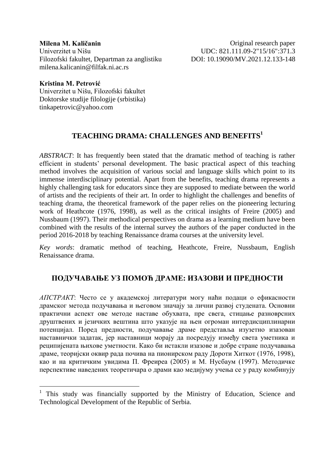**Milena M. Kaličanin** Univerzitet u Nišu Filozofski fakultet, Departman za anglistiku milena.kalicanin@filfak.ni.ac.rs

Original research paper UDC: 821.111.09-2"15/16":371.3 DOI: 10.19090/MV.2021.12[.133](#page-0-0)[-148](#page-15-0)

**Kristina M. Petrović** Univerzitet u Nišu, Filozofski fakultet Doktorske studije filologije (srbistika) tinkapetrovic@yahoo.com

 $\overline{a}$ 

# **TEACHING DRAMA: CHALLENGES AND BENEFITS<sup>1</sup>**

<span id="page-0-0"></span>*ABSTRACT*: It has frequently been stated that the dramatic method of teaching is rather efficient in students' personal development. The basic practical aspect of this teaching method involves the acquisition of various social and language skills which point to its immense interdisciplinary potential. Apart from the benefits, teaching drama represents a highly challenging task for educators since they are supposed to mediate between the world of artists and the recipients of their art. In order to highlight the challenges and benefits of teaching drama, the theoretical framework of the paper relies on the pioneering lecturing work of Heathcote (1976, 1998), as well as the critical insights of Freire (2005) and Nussbaum (1997). Their methodical perspectives on drama as a learning medium have been combined with the results of the internal survey the authors of the paper conducted in the period 2016-2018 by teaching Renaissance drama courses at the university level.

*Key words*: dramatic method of teaching, Heathcote, Freire, Nussbaum, English Renaissance drama.

#### **ПОДУЧАВАЊЕ УЗ ПОМОЋ ДРАМЕ: ИЗАЗОВИ И ПРЕДНОСТИ**

*AПСТРАКТ*: Често се у академској литератури могу наћи подаци о ефикасности драмског метода подучавања и његовом значају за лични развој студената. Основни практични аспект ове методе наставе обухвата, пре свега, стицање разноврсних друштвених и језичких вештина што указује на њен огроман интердисциплинарни потенцијал. Поред предности, подучавање драме представља изузетно изазован наставнички задатак, јер наставници морају да посредују између света уметника и реципијената њихове уметности. Како би истакли изазове и добре стране подучавања драме, теоријски оквир рада почива на пионирском раду Дороти Хиткот (1976, 1998), као и на критичким увидима П. Фреиреа (2005) и М. Нусбаум (1997). Методичке перспективе наведених теоретичара о драми као медијуму учења се у раду комбинују

<sup>&</sup>lt;sup>1</sup> This study was financially supported by the Ministry of Education, Science and Technological Development of the Republic of Serbia.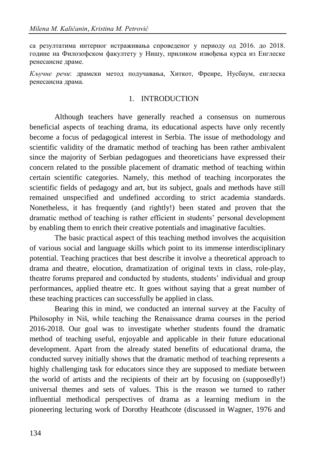са резултатима интерног истраживања спроведеног у периоду од 2016. до 2018. године на Филозофском факултету у Нишу, приликом извођења курса из Енглеске ренесансне драме.

*Кључне речи*: драмски метод подучавања, Хиткот, Фреире, Нусбаум, енглеска ренесансна драма.

#### 1. INTRODUCTION

Although teachers have generally reached a consensus on numerous beneficial aspects of teaching drama, its educational aspects have only recently become a focus of pedagogical interest in Serbia. The issue of methodology and scientific validity of the dramatic method of teaching has been rather ambivalent since the majority of Serbian pedagogues and theoreticians have expressed their concern related to the possible placement of dramatic method of teaching within certain scientific categories. Namely, this method of teaching incorporates the scientific fields of pedagogy and art, but its subject, goals and methods have still remained unspecified and undefined according to strict academia standards. Nonetheless, it has frequently (and rightly!) been stated and proven that the dramatic method of teaching is rather efficient in students' personal development by enabling them to enrich their creative potentials and imaginative faculties.

The basic practical aspect of this teaching method involves the acquisition of various social and language skills which point to its immense interdisciplinary potential. Teaching practices that best describe it involve a theoretical approach to drama and theatre, elocution, dramatization of original texts in class, role-play, theatre forums prepared and conducted by students, students' individual and group performances, applied theatre etc. It goes without saying that a great number of these teaching practices can successfully be applied in class.

Bearing this in mind, we conducted an internal survey at the Faculty of Philosophy in Niš, while teaching the Renaissance drama courses in the period 2016-2018. Our goal was to investigate whether students found the dramatic method of teaching useful, enjoyable and applicable in their future educational development. Apart from the already stated benefits of educational drama, the conducted survey initially shows that the dramatic method of teaching represents a highly challenging task for educators since they are supposed to mediate between the world of artists and the recipients of their art by focusing on (supposedly!) universal themes and sets of values. This is the reason we turned to rather influential methodical perspectives of drama as a learning medium in the pioneering lecturing work of Dorothy Heathcote (discussed in Wagner, 1976 and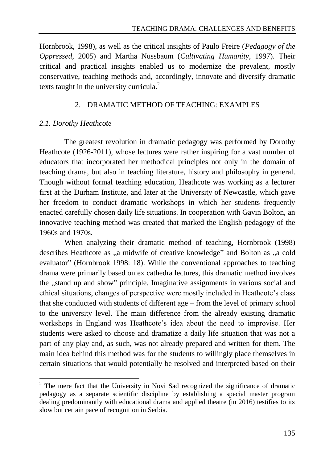Hornbrook, 1998), as well as the critical insights of Paulo Freire (*Pedagogy of the Oppressed*, 2005) and Martha Nussbaum (*Cultivating Humanity*, 1997). Their critical and practical insights enabled us to modernize the prevalent, mostly conservative, teaching methods and, accordingly, innovate and diversify dramatic texts taught in the university curricula.<sup>2</sup>

#### 2. DRAMATIC METHOD OF TEACHING: EXAMPLES

## *2.1. Dorothy Heathcote*

The greatest revolution in dramatic pedagogy was performed by Dorothy Heathcote (1926-2011), whose lectures were rather inspiring for a vast number of educators that incorporated her methodical principles not only in the domain of teaching drama, but also in teaching literature, history and philosophy in general. Though without formal teaching education, Heathcote was working as a lecturer first at the Durham Institute, and later at the University of Newcastle, which gave her freedom to conduct dramatic workshops in which her students frequently enacted carefully chosen daily life situations. In cooperation with Gavin Bolton, an innovative teaching method was created that marked the English pedagogy of the 1960s and 1970s.

When analyzing their dramatic method of teaching, Hornbrook (1998) describes Heathcote as  $\alpha$  midwife of creative knowledge" and Bolton as  $\alpha$  cold evaluator" (Hornbrook 1998: 18). While the conventional approaches to teaching drama were primarily based on ex cathedra lectures, this dramatic method involves the "stand up and show" principle. Imaginative assignments in various social and ethical situations, changes of perspective were mostly included in Heathcote's class that she conducted with students of different age – from the level of primary school to the university level. The main difference from the already existing dramatic workshops in England was Heathcote's idea about the need to improvise. Her students were asked to choose and dramatize a daily life situation that was not a part of any play and, as such, was not already prepared and written for them. The main idea behind this method was for the students to willingly place themselves in certain situations that would potentially be resolved and interpreted based on their

 $\overline{a}$  $2$  The mere fact that the University in Novi Sad recognized the significance of dramatic pedagogy as a separate scientific discipline by establishing a special master program dealing predominantly with educational drama and applied theatre (in 2016) testifies to its slow but certain pace of recognition in Serbia.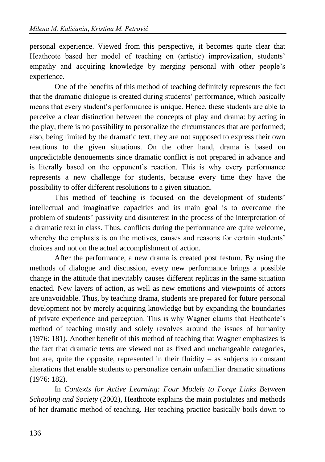personal experience. Viewed from this perspective, it becomes quite clear that Heathcote based her model of teaching on (artistic) improvization, students' empathy and acquiring knowledge by merging personal with other people's experience.

One of the benefits of this method of teaching definitely represents the fact that the dramatic dialogue is created during students' performance, which basically means that every student's performance is unique. Hence, these students are able to perceive a clear distinction between the concepts of play and drama: by acting in the play, there is no possibility to personalize the circumstances that are performed; also, being limited by the dramatic text, they are not supposed to express their own reactions to the given situations. On the other hand, drama is based on unpredictable denouements since dramatic conflict is not prepared in advance and is literally based on the opponent's reaction. This is why every performance represents a new challenge for students, because every time they have the possibility to offer different resolutions to a given situation.

This method of teaching is focused on the development of students' intellectual and imaginative capacities and its main goal is to overcome the problem of students' passivity and disinterest in the process of the interpretation of a dramatic text in class. Thus, conflicts during the performance are quite welcome, whereby the emphasis is on the motives, causes and reasons for certain students' choices and not on the actual accomplishment of action.

After the performance, a new drama is created post festum. By using the methods of dialogue and discussion, every new performance brings a possible change in the attitude that inevitably causes different replicas in the same situation enacted. New layers of action, as well as new emotions and viewpoints of actors are unavoidable. Thus, by teaching drama, students are prepared for future personal development not by merely acquiring knowledge but by expanding the boundaries of private experience and perception. This is why Wagner claims that Heathcote's method of teaching mostly and solely revolves around the issues of humanity (1976: 181). Another benefit of this method of teaching that Wagner emphasizes is the fact that dramatic texts are viewed not as fixed and unchangeable categories, but are, quite the opposite, represented in their fluidity  $-$  as subjects to constant alterations that enable students to personalize certain unfamiliar dramatic situations (1976: 182).

In *Contexts for Active Learning: Four Models to Forge Links Between Schooling and Society* (2002), Heathcote explains the main postulates and methods of her dramatic method of teaching. Her teaching practice basically boils down to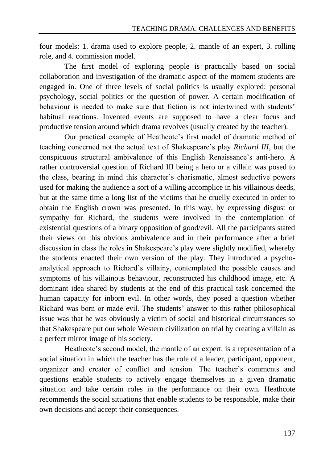four models: 1. drama used to explore people, 2. mantle of an expert, 3. rolling role, and 4. commission model.

The first model of exploring people is practically based on social collaboration and investigation of the dramatic aspect of the moment students are engaged in. One of three levels of social politics is usually explored: personal psychology, social politics or the question of power. A certain modification of behaviour is needed to make sure that fiction is not intertwined with students' habitual reactions. Invented events are supposed to have a clear focus and productive tension around which drama revolves (usually created by the teacher).

Our practical example of Heathcote's first model of dramatic method of teaching concerned not the actual text of Shakespeare's play *Richard III*, but the conspicuous structural ambivalence of this English Renaissance's anti-hero. A rather controversial question of Richard III being a hero or a villain was posed to the class, bearing in mind this character's charismatic, almost seductive powers used for making the audience a sort of a willing accomplice in his villainous deeds, but at the same time a long list of the victims that he cruelly executed in order to obtain the English crown was presented. In this way, by expressing disgust or sympathy for Richard, the students were involved in the contemplation of existential questions of a binary opposition of good/evil. All the participants stated their views on this obvious ambivalence and in their performance after a brief discussion in class the roles in Shakespeare's play were slightly modified, whereby the students enacted their own version of the play. They introduced a psychoanalytical approach to Richard's villainy, contemplated the possible causes and symptoms of his villainous behaviour, reconstructed his childhood image, etc. A dominant idea shared by students at the end of this practical task concerned the human capacity for inborn evil. In other words, they posed a question whether Richard was born or made evil. The students' answer to this rather philosophical issue was that he was obviously a victim of social and historical circumstances so that Shakespeare put our whole Western civilization on trial by creating a villain as a perfect mirror image of his society.

Heathcote's second model, the mantle of an expert, is a representation of a social situation in which the teacher has the role of a leader, participant, opponent, organizer and creator of conflict and tension. The teacher's comments and questions enable students to actively engage themselves in a given dramatic situation and take certain roles in the performance on their own. Heathcote recommends the social situations that enable students to be responsible, make their own decisions and accept their consequences.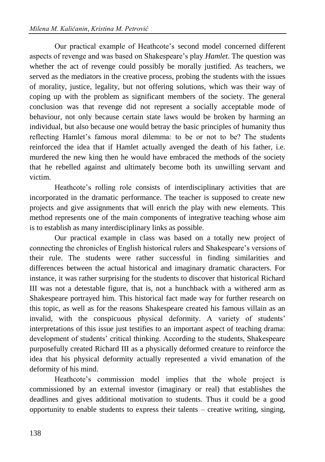Our practical example of Heathcote's second model concerned different aspects of revenge and was based on Shakespeare's play *Hamlet*. The question was whether the act of revenge could possibly be morally justified. As teachers, we served as the mediators in the creative process, probing the students with the issues of morality, justice, legality, but not offering solutions, which was their way of coping up with the problem as significant members of the society. The general conclusion was that revenge did not represent a socially acceptable mode of behaviour, not only because certain state laws would be broken by harming an individual, but also because one would betray the basic principles of humanity thus reflecting Hamlet's famous moral dilemma: to be or not to be? The students reinforced the idea that if Hamlet actually avenged the death of his father, i.e. murdered the new king then he would have embraced the methods of the society that he rebelled against and ultimately become both its unwilling servant and victim.

Heathcote's rolling role consists of interdisciplinary activities that are incorporated in the dramatic performance. The teacher is supposed to create new projects and give assignments that will enrich the play with new elements. This method represents one of the main components of integrative teaching whose aim is to establish as many interdisciplinary links as possible.

Our practical example in class was based on a totally new project of connecting the chronicles of English historical rulers and Shakespeare's versions of their rule. The students were rather successful in finding similarities and differences between the actual historical and imaginary dramatic characters. For instance, it was rather surprising for the students to discover that historical Richard III was not a detestable figure, that is, not a hunchback with a withered arm as Shakespeare portrayed him. This historical fact made way for further research on this topic, as well as for the reasons Shakespeare created his famous villain as an invalid, with the conspicuous physical deformity. A variety of students' interpretations of this issue just testifies to an important aspect of teaching drama: development of students' critical thinking. According to the students, Shakespeare purposefully created Richard III as a physically deformed creature to reinforce the idea that his physical deformity actually represented a vivid emanation of the deformity of his mind.

Heathcote's commission model implies that the whole project is commissioned by an external investor (imaginary or real) that establishes the deadlines and gives additional motivation to students. Thus it could be a good opportunity to enable students to express their talents – creative writing, singing,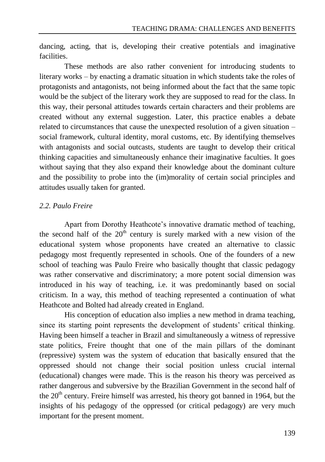dancing, acting, that is, developing their creative potentials and imaginative facilities.

These methods are also rather convenient for introducing students to literary works – by enacting a dramatic situation in which students take the roles of protagonists and antagonists, not being informed about the fact that the same topic would be the subject of the literary work they are supposed to read for the class. In this way, their personal attitudes towards certain characters and their problems are created without any external suggestion. Later, this practice enables a debate related to circumstances that cause the unexpected resolution of a given situation – social framework, cultural identity, moral customs, etc. By identifying themselves with antagonists and social outcasts, students are taught to develop their critical thinking capacities and simultaneously enhance their imaginative faculties. It goes without saying that they also expand their knowledge about the dominant culture and the possibility to probe into the (im)morality of certain social principles and attitudes usually taken for granted.

## *2.2. Paulo Freire*

Apart from Dorothy Heathcote's innovative dramatic method of teaching, the second half of the  $20<sup>th</sup>$  century is surely marked with a new vision of the educational system whose proponents have created an alternative to classic pedagogy most frequently represented in schools. One of the founders of a new school of teaching was Paulo Freire who basically thought that classic pedagogy was rather conservative and discriminatory; a more potent social dimension was introduced in his way of teaching, i.e. it was predominantly based on social criticism. In a way, this method of teaching represented a continuation of what Heathcote and Bolted had already created in England.

His conception of education also implies a new method in drama teaching, since its starting point represents the development of students' critical thinking. Having been himself a teacher in Brazil and simultaneously a witness of repressive state politics, Freire thought that one of the main pillars of the dominant (repressive) system was the system of education that basically ensured that the oppressed should not change their social position unless crucial internal (educational) changes were made. This is the reason his theory was perceived as rather dangerous and subversive by the Brazilian Government in the second half of the  $20<sup>th</sup>$  century. Freire himself was arrested, his theory got banned in 1964, but the insights of his pedagogy of the oppressed (or critical pedagogy) are very much important for the present moment.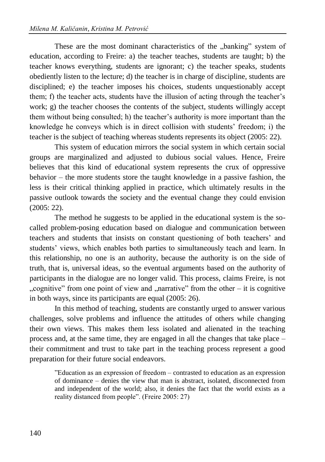These are the most dominant characteristics of the "banking" system of education, according to Freire: a) the teacher teaches, students are taught; b) the teacher knows everything, students are ignorant; c) the teacher speaks, students obediently listen to the lecture; d) the teacher is in charge of discipline, students are disciplined; e) the teacher imposes his choices, students unquestionably accept them; f) the teacher acts, students have the illusion of acting through the teacher's work; g) the teacher chooses the contents of the subject, students willingly accept them without being consulted; h) the teacher's authority is more important than the knowledge he conveys which is in direct collision with students' freedom; i) the teacher is the subject of teaching whereas students represents its object (2005: 22).

This system of education mirrors the social system in which certain social groups are marginalized and adjusted to dubious social values. Hence, Freire believes that this kind of educational system represents the crux of oppressive behavior – the more students store the taught knowledge in a passive fashion, the less is their critical thinking applied in practice, which ultimately results in the passive outlook towards the society and the eventual change they could envision (2005: 22).

The method he suggests to be applied in the educational system is the socalled problem-posing education based on dialogue and communication between teachers and students that insists on constant questioning of both teachers' and students' views, which enables both parties to simultaneously teach and learn. In this relationship, no one is an authority, because the authority is on the side of truth, that is, universal ideas, so the eventual arguments based on the authority of participants in the dialogue are no longer valid. This process, claims Freire, is not "cognitive" from one point of view and "narrative" from the other – it is cognitive. in both ways, since its participants are equal (2005: 26).

In this method of teaching, students are constantly urged to answer various challenges, solve problems and influence the attitudes of others while changing their own views. This makes them less isolated and alienated in the teaching process and, at the same time, they are engaged in all the changes that take place – their commitment and trust to take part in the teaching process represent a good preparation for their future social endeavors.

"Education as an expression of freedom – contrasted to education as an expression of dominance – denies the view that man is abstract, isolated, disconnected from and independent of the world; also, it denies the fact that the world exists as a reality distanced from people". (Freire 2005: 27)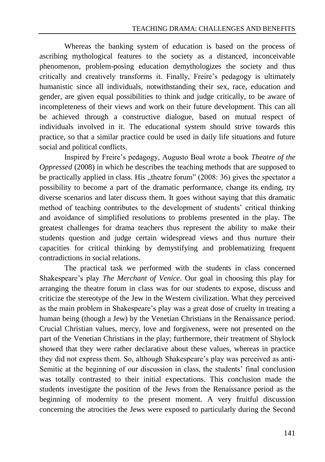Whereas the banking system of education is based on the process of ascribing mythological features to the society as a distanced, inconceivable phenomenon, problem-posing education demythologizes the society and thus critically and creatively transforms it. Finally, Freire's pedagogy is ultimately humanistic since all individuals, notwithstanding their sex, race, education and gender, are given equal possibilities to think and judge critically, to be aware of incompleteness of their views and work on their future development. This can all be achieved through a constructive dialogue, based on mutual respect of individuals involved in it. The educational system should strive towards this practice, so that a similar practice could be used in daily life situations and future social and political conflicts.

Inspired by Freire's pedagogy, Augusto Boal wrote a book *Theatre of the Oppressed* (2008) in which he describes the teaching methods that are supposed to be practically applied in class. His  $n$ , theatre forum" (2008: 36) gives the spectator a possibility to become a part of the dramatic performance, change its ending, try diverse scenarios and later discuss them. It goes without saying that this dramatic method of teaching contributes to the development of students' critical thinking and avoidance of simplified resolutions to problems presented in the play. The greatest challenges for drama teachers thus represent the ability to make their students question and judge certain widespread views and thus nurture their capacities for critical thinking by demystifying and problematizing frequent contradictions in social relations.

The practical task we performed with the students in class concerned Shakespeare's play *The Merchant of Venice*. Our goal in choosing this play for arranging the theatre forum in class was for our students to expose, discuss and criticize the stereotype of the Jew in the Western civilization. What they perceived as the main problem in Shakespeare's play was a great dose of cruelty in treating a human being (though a Jew) by the Venetian Christians in the Renaissance period. Crucial Christian values, mercy, love and forgiveness, were not presented on the part of the Venetian Christians in the play; furthermore, their treatment of Shylock showed that they were rather declarative about these values, whereas in practice they did not express them. So, although Shakespeare's play was perceived as anti-Semitic at the beginning of our discussion in class, the students' final conclusion was totally contrasted to their initial expectations. This conclusion made the students investigate the position of the Jews from the Renaissance period as the beginning of modernity to the present moment. A very fruitful discussion concerning the atrocities the Jews were exposed to particularly during the Second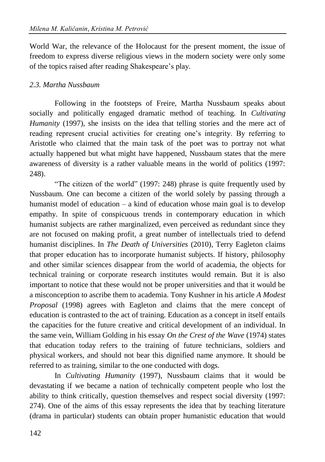World War, the relevance of the Holocaust for the present moment, the issue of freedom to express diverse religious views in the modern society were only some of the topics raised after reading Shakespeare's play.

## *2.3. Martha Nussbaum*

Following in the footsteps of Freire, Martha Nussbaum speaks about socially and politically engaged dramatic method of teaching. In *Cultivating Humanity* (1997), she insists on the idea that telling stories and the mere act of reading represent crucial activities for creating one's integrity. By referring to Aristotle who claimed that the main task of the poet was to portray not what actually happened but what might have happened, Nussbaum states that the mere awareness of diversity is a rather valuable means in the world of politics (1997: 248).

"The citizen of the world" (1997: 248) phrase is quite frequently used by Nussbaum. One can become a citizen of the world solely by passing through a humanist model of education – a kind of education whose main goal is to develop empathy. In spite of conspicuous trends in contemporary education in which humanist subjects are rather marginalized, even perceived as redundant since they are not focused on making profit, a great number of intellectuals tried to defend humanist disciplines. In *The Death of Universities* (2010), Terry Eagleton claims that proper education has to incorporate humanist subjects. If history, philosophy and other similar sciences disappear from the world of academia, the objects for technical training or corporate research institutes would remain. But it is also important to notice that these would not be proper universities and that it would be a misconception to ascribe them to academia. Tony Kushner in his article *A Modest Proposal* (1998) agrees with Eagleton and claims that the mere concept of education is contrasted to the act of training. Education as a concept in itself entails the capacities for the future creative and critical development of an individual. In the same vein, William Golding in his essay *On the Crest of the Wave* (1974) states that education today refers to the training of future technicians, soldiers and physical workers, and should not bear this dignified name anymore. It should be referred to as training, similar to the one conducted with dogs.

In *Cultivating Humanity* (1997), Nussbaum claims that it would be devastating if we became a nation of technically competent people who lost the ability to think critically, question themselves and respect social diversity (1997: 274). One of the aims of this essay represents the idea that by teaching literature (drama in particular) students can obtain proper humanistic education that would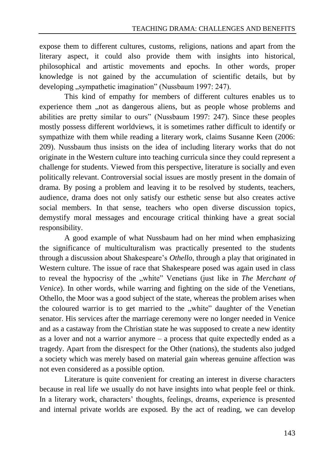expose them to different cultures, customs, religions, nations and apart from the literary aspect, it could also provide them with insights into historical, philosophical and artistic movements and epochs. In other words, proper knowledge is not gained by the accumulation of scientific details, but by developing "sympathetic imagination" (Nussbaum 1997: 247).

This kind of empathy for members of different cultures enables us to experience them , not as dangerous aliens, but as people whose problems and abilities are pretty similar to ours" (Nussbaum 1997: 247). Since these peoples mostly possess different worldviews, it is sometimes rather difficult to identify or sympathize with them while reading a literary work, claims Susanne Keen (2006: 209). Nussbaum thus insists on the idea of including literary works that do not originate in the Western culture into teaching curricula since they could represent a challenge for students. Viewed from this perspective, literature is socially and even politically relevant. Controversial social issues are mostly present in the domain of drama. By posing a problem and leaving it to be resolved by students, teachers, audience, drama does not only satisfy our esthetic sense but also creates active social members. In that sense, teachers who open diverse discussion topics, demystify moral messages and encourage critical thinking have a great social responsibility.

A good example of what Nussbaum had on her mind when emphasizing the significance of multiculturalism was practically presented to the students through a discussion about Shakespeare's *Othello*, through a play that originated in Western culture. The issue of race that Shakespeare posed was again used in class to reveal the hypocrisy of the "white" Venetians (just like in *The Merchant of Venice*). In other words, while warring and fighting on the side of the Venetians, Othello, the Moor was a good subject of the state, whereas the problem arises when the coloured warrior is to get married to the "white" daughter of the Venetian senator. His services after the marriage ceremony were no longer needed in Venice and as a castaway from the Christian state he was supposed to create a new identity as a lover and not a warrior anymore – a process that quite expectedly ended as a tragedy. Apart from the disrespect for the Other (nations), the students also judged a society which was merely based on material gain whereas genuine affection was not even considered as a possible option.

Literature is quite convenient for creating an interest in diverse characters because in real life we usually do not have insights into what people feel or think. In a literary work, characters' thoughts, feelings, dreams, experience is presented and internal private worlds are exposed. By the act of reading, we can develop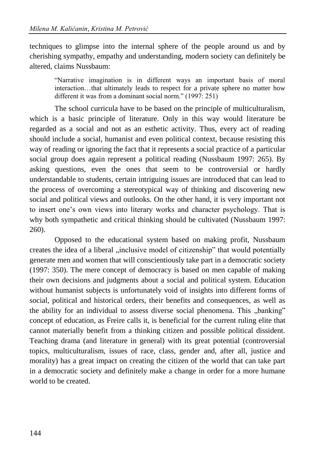techniques to glimpse into the internal sphere of the people around us and by cherishing sympathy, empathy and understanding, modern society can definitely be altered, claims Nussbaum:

"Narrative imagination is in different ways an important basis of moral interaction…that ultimately leads to respect for a private sphere no matter how different it was from a dominant social norm." (1997: 251)

The school curricula have to be based on the principle of multiculturalism, which is a basic principle of literature. Only in this way would literature be regarded as a social and not as an esthetic activity. Thus, every act of reading should include a social, humanist and even political context, because resisting this way of reading or ignoring the fact that it represents a social practice of a particular social group does again represent a political reading (Nussbaum 1997: 265). By asking questions, even the ones that seem to be controversial or hardly understandable to students, certain intriguing issues are introduced that can lead to the process of overcoming a stereotypical way of thinking and discovering new social and political views and outlooks. On the other hand, it is very important not to insert one's own views into literary works and character psychology. That is why both sympathetic and critical thinking should be cultivated (Nussbaum 1997: 260).

Opposed to the educational system based on making profit, Nussbaum creates the idea of a liberal "inclusive model of citizenship" that would potentially generate men and women that will conscientiously take part in a democratic society (1997: 350). The mere concept of democracy is based on men capable of making their own decisions and judgments about a social and political system. Education without humanist subjects is unfortunately void of insights into different forms of social, political and historical orders, their benefits and consequences, as well as the ability for an individual to assess diverse social phenomena. This "banking" concept of education, as Freire calls it, is beneficial for the current ruling elite that cannot materially benefit from a thinking citizen and possible political dissident. Teaching drama (and literature in general) with its great potential (controversial topics, multiculturalism, issues of race, class, gender and, after all, justice and morality) has a great impact on creating the citizen of the world that can take part in a democratic society and definitely make a change in order for a more humane world to be created.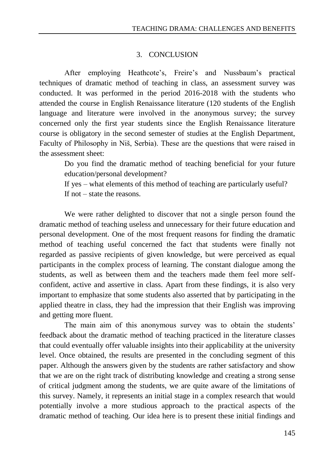#### 3. CONCLUSION

After employing Heathcote's, Freire's and Nussbaum's practical techniques of dramatic method of teaching in class, an assessment survey was conducted. It was performed in the period 2016-2018 with the students who attended the course in English Renaissance literature (120 students of the English language and literature were involved in the anonymous survey; the survey concerned only the first year students since the English Renaissance literature course is obligatory in the second semester of studies at the English Department, Faculty of Philosophy in Niš, Serbia). These are the questions that were raised in the assessment sheet:

Do you find the dramatic method of teaching beneficial for your future education/personal development?

If yes – what elements of this method of teaching are particularly useful? If not – state the reasons.

We were rather delighted to discover that not a single person found the dramatic method of teaching useless and unnecessary for their future education and personal development. One of the most frequent reasons for finding the dramatic method of teaching useful concerned the fact that students were finally not regarded as passive recipients of given knowledge, but were perceived as equal participants in the complex process of learning. The constant dialogue among the students, as well as between them and the teachers made them feel more selfconfident, active and assertive in class. Apart from these findings, it is also very important to emphasize that some students also asserted that by participating in the applied theatre in class, they had the impression that their English was improving and getting more fluent.

The main aim of this anonymous survey was to obtain the students' feedback about the dramatic method of teaching practiced in the literature classes that could eventually offer valuable insights into their applicability at the university level. Once obtained, the results are presented in the concluding segment of this paper. Although the answers given by the students are rather satisfactory and show that we are on the right track of distributing knowledge and creating a strong sense of critical judgment among the students, we are quite aware of the limitations of this survey. Namely, it represents an initial stage in a complex research that would potentially involve a more studious approach to the practical aspects of the dramatic method of teaching. Our idea here is to present these initial findings and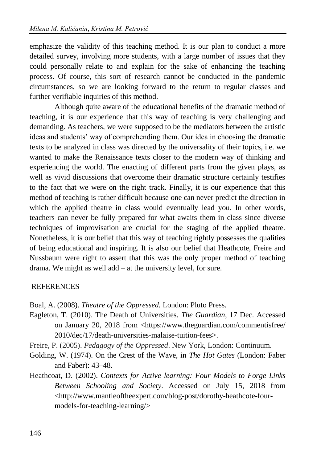emphasize the validity of this teaching method. It is our plan to conduct a more detailed survey, involving more students, with a large number of issues that they could personally relate to and explain for the sake of enhancing the teaching process. Of course, this sort of research cannot be conducted in the pandemic circumstances, so we are looking forward to the return to regular classes and further verifiable inquiries of this method.

Although quite aware of the educational benefits of the dramatic method of teaching, it is our experience that this way of teaching is very challenging and demanding. As teachers, we were supposed to be the mediators between the artistic ideas and students' way of comprehending them. Our idea in choosing the dramatic texts to be analyzed in class was directed by the universality of their topics, i.e. we wanted to make the Renaissance texts closer to the modern way of thinking and experiencing the world. The enacting of different parts from the given plays, as well as vivid discussions that overcome their dramatic structure certainly testifies to the fact that we were on the right track. Finally, it is our experience that this method of teaching is rather difficult because one can never predict the direction in which the applied theatre in class would eventually lead you. In other words, teachers can never be fully prepared for what awaits them in class since diverse techniques of improvisation are crucial for the staging of the applied theatre. Nonetheless, it is our belief that this way of teaching rightly possesses the qualities of being educational and inspiring. It is also our belief that Heathcote, Freire and Nussbaum were right to assert that this was the only proper method of teaching drama. We might as well add – at the university level, for sure.

#### **REFERENCES**

Boal, A. (2008). *Theatre of the Oppressed.* London: Pluto Press.

- Eagleton, T. (2010). The Death of Universities. *The Guardian*, 17 Dec. Accessed on January 20, 2018 from <https://www.theguardian.com/commentisfree/ 2010/dec/17/death-universities-malaise-tuition-fees>.
- Freire, P. (2005). *Pedagogy of the Oppressed*. New York, London: Continuum.
- Golding, W. (1974). On the Crest of the Wave, in *The Hot Gates* (London: Faber and Faber): 43–48.
- Heathcoat, D. (2002). *Contexts for Active learning: Four Models to Forge Links Between Schooling and Society*. Accessed on July 15, 2018 from <http://www.mantleoftheexpert.com/blog-post/dorothy-heathcote-fourmodels-for-teaching-learning/>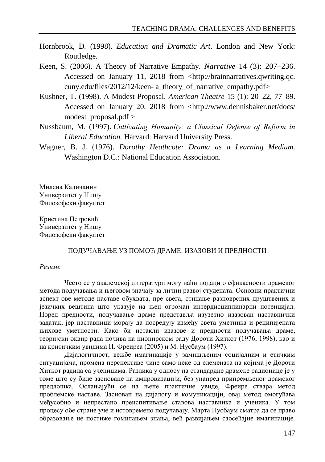- Hornbrook, D*.* (1998)*. Education and Dramatic Art*. London and New York: Routledge*.*
- Keen, S. (2006). A Theory of Narrative Empathy. *Narrative* 14 (3): 207–236. Accessed on January 11, 2018 from <http://brainnarratives.qwriting.qc. cuny.edu/files/2012/12/keen- a\_theory\_of\_narrative\_empathy.pdf>
- Kushner, T. (1998). A Modest Proposal. *American Theatre* 15 (1): 20–22, 77–89. Accessed on January 20, 2018 from <http://www.dennisbaker.net/docs/ modest proposal.pdf  $>$
- Nussbaum, M. (1997). *Cultivating Humanity: а Classical Defense of Reform in Liberal Education.* Harvard: Harvard University Press.
- Wagner, B. J. (1976). *Dorothy Heathcote: Drama as a Learning Medium*. Washington D.C.: National Education Association.

Милена Каличанин Универзитет у Нишу Филозофски факултет

Кристина Петровић Универзитет у Нишу Филозофски факултет

#### ПОДУЧАВАЊЕ УЗ ПОМОЋ ДРАМЕ: ИЗАЗОВИ И ПРЕДНОСТИ

#### *Резиме*

Често се у академској литератури могу наћи подаци о ефикасности драмског метода подучавања и његовом значају за лични развој студената. Основни практични аспект ове методе наставе обухвата, пре свега, стицање разноврсних друштвених и језичких вештина што указује на њен огроман интердисциплинарни потенцијал. Поред предности, подучавање драме представља изузетно изазован наставнички задатак, јер наставници морају да посредују између света уметника и реципијената њихове уметности. Како би истакли изазове и предности подучавања драме, теоријски оквир рада почива на пионирском раду Дороти Хиткот (1976, 1998), као и на критичким увидима П. Фреиреа (2005) и М. Нусбаум (1997).

Дијалогичност, вежбе имагинације у замишљеним социјалним и етичким ситуацијама, промена перспективе чине само неке од елемената на којима је Дороти Хиткот радила са ученицима. Разлика у односу на стандардне драмске радионице је у томе што су биле засноване на импровизацији, без унапред припремљеног драмског предлошка. Ослањајући се на њене практичне увиде, Фреирe ствара метод проблемске наставе. Заснован на дијалогу и комуникацији, овај метод омогућава међусобно и непрестано преиспитивање ставова наставника и ученика. У том процесу обе стране уче и истовремено подучавају. Марта Нусбаум сматра да се право образовање не постиже гомилањем знања, већ развијањем саосећајне имагинације.